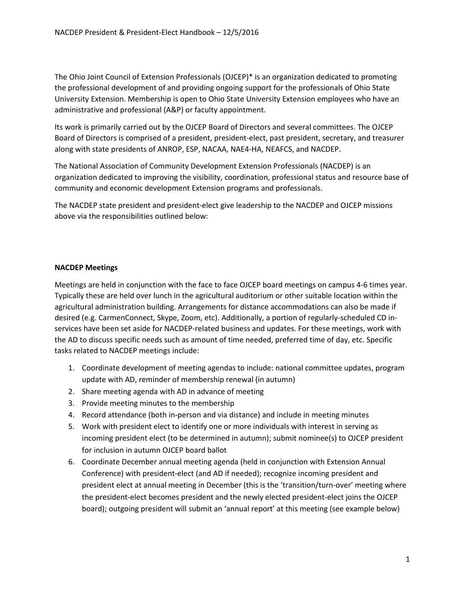The Ohio Joint Council of Extension Professionals (OJCEP)\* is an organization dedicated to promoting the professional development of and providing ongoing support for the professionals of Ohio State University Extension. Membership is open to Ohio State University Extension employees who have an administrative and professional (A&P) or faculty appointment.

Its work is primarily carried out by the OJCEP Board of Directors and several committees. The OJCEP Board of Directors is comprised of a president, president-elect, past president, secretary, and treasurer along with state presidents of ANROP, ESP, NACAA, NAE4-HA, NEAFCS, and NACDEP.

The National Association of Community Development Extension Professionals (NACDEP) is an organization dedicated to improving the visibility, coordination, professional status and resource base of community and economic development Extension programs and professionals.

The NACDEP state president and president-elect give leadership to the NACDEP and OJCEP missions above via the responsibilities outlined below:

# **NACDEP Meetings**

Meetings are held in conjunction with the face to face OJCEP board meetings on campus 4-6 times year. Typically these are held over lunch in the agricultural auditorium or other suitable location within the agricultural administration building. Arrangements for distance accommodations can also be made if desired (e.g. CarmenConnect, Skype, Zoom, etc). Additionally, a portion of regularly-scheduled CD inservices have been set aside for NACDEP-related business and updates. For these meetings, work with the AD to discuss specific needs such as amount of time needed, preferred time of day, etc. Specific tasks related to NACDEP meetings include:

- 1. Coordinate development of meeting agendas to include: national committee updates, program update with AD, reminder of membership renewal (in autumn)
- 2. Share meeting agenda with AD in advance of meeting
- 3. Provide meeting minutes to the membership
- 4. Record attendance (both in-person and via distance) and include in meeting minutes
- 5. Work with president elect to identify one or more individuals with interest in serving as incoming president elect (to be determined in autumn); submit nominee(s) to OJCEP president for inclusion in autumn OJCEP board ballot
- 6. Coordinate December annual meeting agenda (held in conjunction with Extension Annual Conference) with president-elect (and AD if needed); recognize incoming president and president elect at annual meeting in December (this is the 'transition/turn-over' meeting where the president-elect becomes president and the newly elected president-elect joins the OJCEP board); outgoing president will submit an 'annual report' at this meeting (see example below)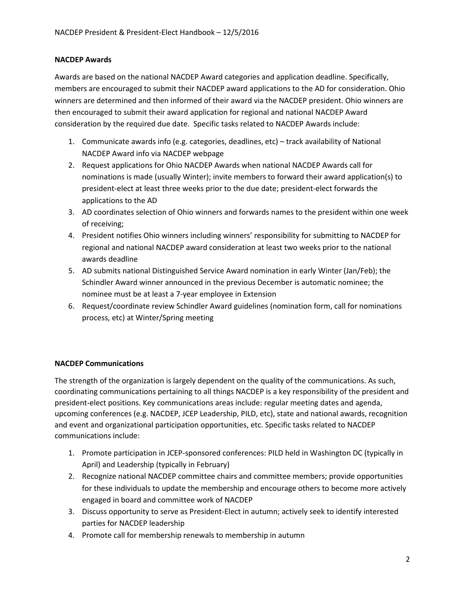# **NACDEP Awards**

Awards are based on the national NACDEP Award categories and application deadline. Specifically, members are encouraged to submit their NACDEP award applications to the AD for consideration. Ohio winners are determined and then informed of their award via the NACDEP president. Ohio winners are then encouraged to submit their award application for regional and national NACDEP Award consideration by the required due date. Specific tasks related to NACDEP Awards include:

- 1. Communicate awards info (e.g. categories, deadlines, etc) track availability of National NACDEP Award info via NACDEP webpage
- 2. Request applications for Ohio NACDEP Awards when national NACDEP Awards call for nominations is made (usually Winter); invite members to forward their award application(s) to president-elect at least three weeks prior to the due date; president-elect forwards the applications to the AD
- 3. AD coordinates selection of Ohio winners and forwards names to the president within one week of receiving;
- 4. President notifies Ohio winners including winners' responsibility for submitting to NACDEP for regional and national NACDEP award consideration at least two weeks prior to the national awards deadline
- 5. AD submits national Distinguished Service Award nomination in early Winter (Jan/Feb); the Schindler Award winner announced in the previous December is automatic nominee; the nominee must be at least a 7-year employee in Extension
- 6. Request/coordinate review Schindler Award guidelines (nomination form, call for nominations process, etc) at Winter/Spring meeting

# **NACDEP Communications**

The strength of the organization is largely dependent on the quality of the communications. As such, coordinating communications pertaining to all things NACDEP is a key responsibility of the president and president-elect positions. Key communications areas include: regular meeting dates and agenda, upcoming conferences (e.g. NACDEP, JCEP Leadership, PILD, etc), state and national awards, recognition and event and organizational participation opportunities, etc. Specific tasks related to NACDEP communications include:

- 1. Promote participation in JCEP-sponsored conferences: PILD held in Washington DC (typically in April) and Leadership (typically in February)
- 2. Recognize national NACDEP committee chairs and committee members; provide opportunities for these individuals to update the membership and encourage others to become more actively engaged in board and committee work of NACDEP
- 3. Discuss opportunity to serve as President-Elect in autumn; actively seek to identify interested parties for NACDEP leadership
- 4. Promote call for membership renewals to membership in autumn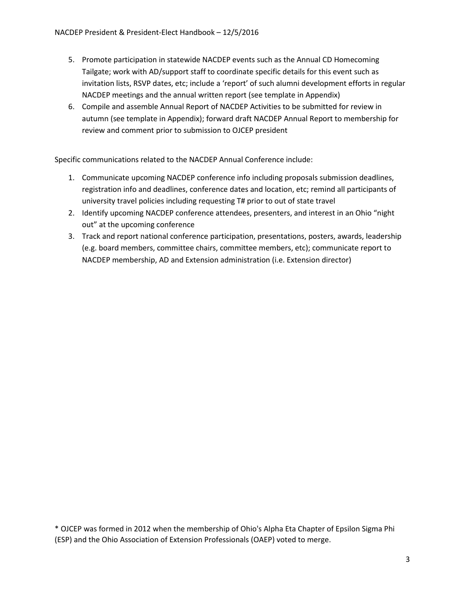- 5. Promote participation in statewide NACDEP events such as the Annual CD Homecoming Tailgate; work with AD/support staff to coordinate specific details for this event such as invitation lists, RSVP dates, etc; include a 'report' of such alumni development efforts in regular NACDEP meetings and the annual written report (see template in Appendix)
- 6. Compile and assemble Annual Report of NACDEP Activities to be submitted for review in autumn (see template in Appendix); forward draft NACDEP Annual Report to membership for review and comment prior to submission to OJCEP president

Specific communications related to the NACDEP Annual Conference include:

- 1. Communicate upcoming NACDEP conference info including proposals submission deadlines, registration info and deadlines, conference dates and location, etc; remind all participants of university travel policies including requesting T# prior to out of state travel
- 2. Identify upcoming NACDEP conference attendees, presenters, and interest in an Ohio "night out" at the upcoming conference
- 3. Track and report national conference participation, presentations, posters, awards, leadership (e.g. board members, committee chairs, committee members, etc); communicate report to NACDEP membership, AD and Extension administration (i.e. Extension director)

\* OJCEP was formed in 2012 when the membership of Ohio's Alpha Eta Chapter of Epsilon Sigma Phi (ESP) and the Ohio Association of Extension Professionals (OAEP) voted to merge.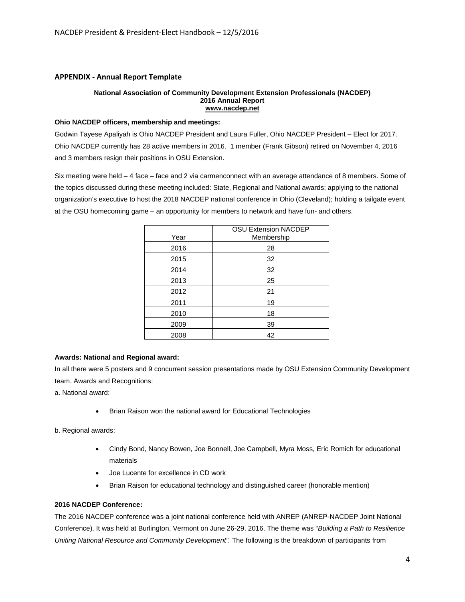## **APPENDIX - Annual Report Template**

#### **National Association of Community Development Extension Professionals (NACDEP) 2016 Annual Report www.nacdep.net**

#### **Ohio NACDEP officers, membership and meetings:**

Godwin Tayese Apaliyah is Ohio NACDEP President and Laura Fuller, Ohio NACDEP President – Elect for 2017. Ohio NACDEP currently has 28 active members in 2016. 1 member (Frank Gibson) retired on November 4, 2016 and 3 members resign their positions in OSU Extension.

Six meeting were held – 4 face – face and 2 via carmenconnect with an average attendance of 8 members. Some of the topics discussed during these meeting included: State, Regional and National awards; applying to the national organization's executive to host the 2018 NACDEP national conference in Ohio (Cleveland); holding a tailgate event at the OSU homecoming game – an opportunity for members to network and have fun- and others.

| Year | <b>OSU Extension NACDEP</b><br>Membership |
|------|-------------------------------------------|
| 2016 | 28                                        |
| 2015 | 32                                        |
| 2014 | 32                                        |
| 2013 | 25                                        |
| 2012 | 21                                        |
| 2011 | 19                                        |
| 2010 | 18                                        |
| 2009 | 39                                        |
| 2008 | 42                                        |

#### **Awards: National and Regional award:**

In all there were 5 posters and 9 concurrent session presentations made by OSU Extension Community Development team. Awards and Recognitions:

a. National award:

• Brian Raison won the national award for Educational Technologies

b. Regional awards:

- Cindy Bond, Nancy Bowen, Joe Bonnell, Joe Campbell, Myra Moss, Eric Romich for educational materials
- Joe Lucente for excellence in CD work
- Brian Raison for educational technology and distinguished career (honorable mention)

## **2016 NACDEP Conference:**

The 2016 NACDEP conference was a joint national conference held with ANREP (ANREP-NACDEP Joint National Conference). It was held at Burlington, Vermont on June 26-29, 2016. The theme was "*Building a Path to Resilience Uniting National Resource and Community Development".* The following is the breakdown of participants from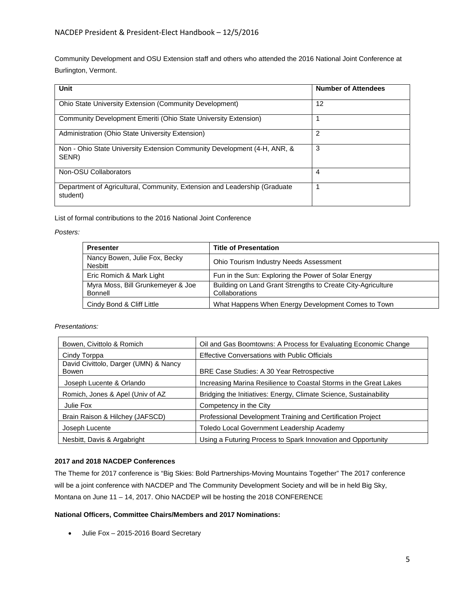Community Development and OSU Extension staff and others who attended the 2016 National Joint Conference at Burlington, Vermont.

| <b>Unit</b>                                                                           | <b>Number of Attendees</b> |
|---------------------------------------------------------------------------------------|----------------------------|
| <b>Ohio State University Extension (Community Development)</b>                        | 12                         |
| Community Development Emeriti (Ohio State University Extension)                       |                            |
| Administration (Ohio State University Extension)                                      | 2                          |
| Non - Ohio State University Extension Community Development (4-H, ANR, &<br>SENR)     | 3                          |
| Non-OSU Collaborators                                                                 | 4                          |
| Department of Agricultural, Community, Extension and Leadership (Graduate<br>student) | 1                          |

List of formal contributions to the 2016 National Joint Conference

#### *Posters:*

| <b>Presenter</b>                                | <b>Title of Presentation</b>                                                  |
|-------------------------------------------------|-------------------------------------------------------------------------------|
| Nancy Bowen, Julie Fox, Becky<br><b>Nesbitt</b> | Ohio Tourism Industry Needs Assessment                                        |
| Eric Romich & Mark Light                        | Fun in the Sun: Exploring the Power of Solar Energy                           |
| Myra Moss, Bill Grunkemeyer & Joe<br>Bonnell    | Building on Land Grant Strengths to Create City-Agriculture<br>Collaborations |
| Cindy Bond & Cliff Little                       | What Happens When Energy Development Comes to Town                            |

*Presentations:*

| Bowen, Civittolo & Romich                             | Oil and Gas Boomtowns: A Process for Evaluating Economic Change   |
|-------------------------------------------------------|-------------------------------------------------------------------|
| Cindy Torppa                                          | <b>Effective Conversations with Public Officials</b>              |
| David Civittolo, Darger (UMN) & Nancy<br><b>Bowen</b> | BRE Case Studies: A 30 Year Retrospective                         |
| Joseph Lucente & Orlando                              | Increasing Marina Resilience to Coastal Storms in the Great Lakes |
| Romich, Jones & Apel (Univ of AZ                      | Bridging the Initiatives: Energy, Climate Science, Sustainability |
| Julie Fox                                             | Competency in the City                                            |
| Brain Raison & Hilchey (JAFSCD)                       | Professional Development Training and Certification Project       |
| Joseph Lucente                                        | Toledo Local Government Leadership Academy                        |
| Nesbitt, Davis & Argabright                           | Using a Futuring Process to Spark Innovation and Opportunity      |

## **2017 and 2018 NACDEP Conferences**

The Theme for 2017 conference is "Big Skies: Bold Partnerships-Moving Mountains Together" The 2017 conference will be a joint conference with NACDEP and The Community Development Society and will be in held Big Sky, Montana on June 11 – 14, 2017. Ohio NACDEP will be hosting the 2018 CONFERENCE

## **National Officers, Committee Chairs/Members and 2017 Nominations:**

• Julie Fox – 2015-2016 Board Secretary